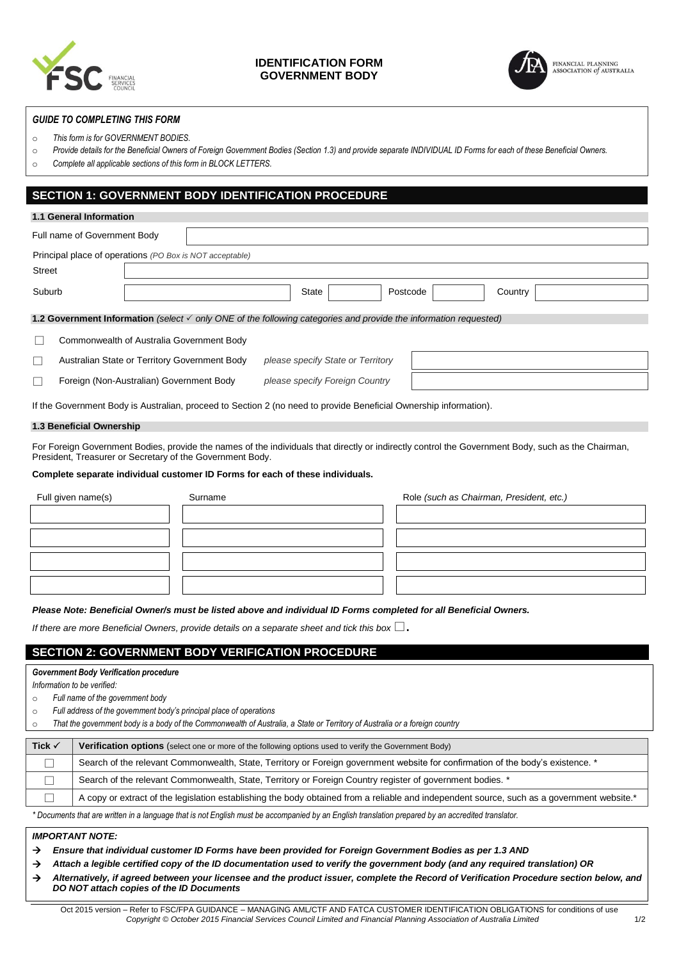

## **IDENTIFICATION FORM GOVERNMENT BODY**



## *GUIDE TO COMPLETING THIS FORM*

#### o *This form is for GOVERNMENT BODIES.*

- o *Provide details for the Beneficial Owners of Foreign Government Bodies (Section 1.3) and provide separate INDIVIDUAL ID Forms for each of these Beneficial Owners.*
- o *Complete all applicable sections of this form in BLOCK LETTERS.*

## **SECTION 1: GOVERNMENT BODY IDENTIFICATION PROCEDURE**

| 1.1 General Information                                                                                                     |  |  |       |          |         |  |
|-----------------------------------------------------------------------------------------------------------------------------|--|--|-------|----------|---------|--|
| Full name of Government Body                                                                                                |  |  |       |          |         |  |
| Principal place of operations (PO Box is NOT acceptable)                                                                    |  |  |       |          |         |  |
| Street                                                                                                                      |  |  |       |          |         |  |
| Suburb                                                                                                                      |  |  | State | Postcode | Country |  |
| 1.2 Government Information (select $\checkmark$ only ONE of the following categories and provide the information requested) |  |  |       |          |         |  |

□ Commonwealth of Australia Government Body Australian State or Territory Government Body *please specify State or Territory*

Foreign (Non-Australian) Government Body *please specify Foreign Country*

If the Government Body is Australian, proceed to Section 2 (no need to provide Beneficial Ownership information).

#### **1.3 Beneficial Ownership**

For Foreign Government Bodies, provide the names of the individuals that directly or indirectly control the Government Body, such as the Chairman, President, Treasurer or Secretary of the Government Body.

### **Complete separate individual customer ID Forms for each of these individuals.**

| Full given name(s) | Surname | Role (such as Chairman, President, etc.) |
|--------------------|---------|------------------------------------------|
|                    |         |                                          |
|                    |         |                                          |
|                    |         |                                          |
|                    |         |                                          |
|                    |         |                                          |

*Please Note: Beneficial Owner/s must be listed above and individual ID Forms completed for all Beneficial Owners.*

*If there are more Beneficial Owners, provide details on a separate sheet and tick this box*  $\Box$ .

# **SECTION 2: GOVERNMENT BODY VERIFICATION PROCEDURE**

### *Government Body Verification procedure*

*Information to be verified:*

o *Full name of the government body*

- o *Full address of the government body's principal place of operations*
- o *That the government body is a body of the Commonwealth of Australia, a State or Territory of Australia or a foreign country*

| Tick $\checkmark$ | Verification options (select one or more of the following options used to verify the Government Body)                                      |
|-------------------|--------------------------------------------------------------------------------------------------------------------------------------------|
|                   | Search of the relevant Commonwealth, State, Territory or Foreign government website for confirmation of the body's existence. *            |
|                   | Search of the relevant Commonwealth, State, Territory or Foreign Country register of government bodies. *                                  |
|                   | A copy or extract of the legislation establishing the body obtained from a reliable and independent source, such as a government website.* |

*\* Documents that are written in a language that is not English must be accompanied by an English translation prepared by an accredited translator.*

## *IMPORTANT NOTE:*

- *Ensure that individual customer ID Forms have been provided for Foreign Government Bodies as per 1.3 AND*
- *Attach a legible certified copy of the ID documentation used to verify the government body (and any required translation) OR*
- *Alternatively, if agreed between your licensee and the product issuer, complete the Record of Verification Procedure section below, and DO NOT attach copies of the ID Documents*

Oct 2015 version – Refer to FSC/FPA GUIDANCE – MANAGING AML/CTF AND FATCA CUSTOMER IDENTIFICATION OBLIGATIONS for conditions of use  *Copyright © October 2015 Financial Services Council Limited and Financial Planning Association of Australia Limited* 1/2